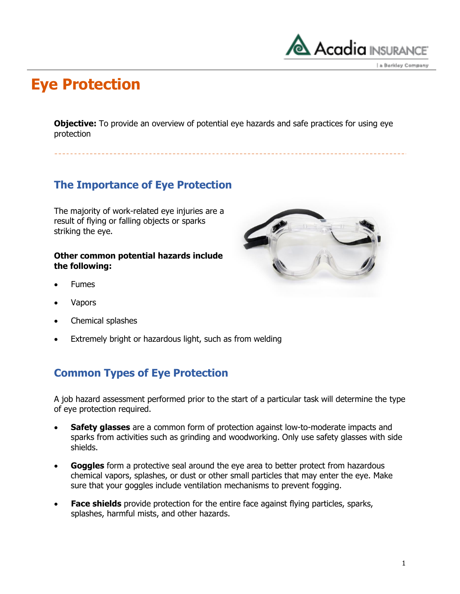

### **Eye Protection**

**Objective:** To provide an overview of potential eye hazards and safe practices for using eye protection

### **The Importance of Eye Protection**

The majority of work-related eye injuries are a result of flying or falling objects or sparks striking the eye.

#### **Other common potential hazards include the following:**

- Fumes
- Vapors
- Chemical splashes
- Extremely bright or hazardous light, such as from welding

### **Common Types of Eye Protection**

A job hazard assessment performed prior to the start of a particular task will determine the type of eye protection required.

- **Safety glasses** are a common form of protection against low-to-moderate impacts and sparks from activities such as grinding and woodworking. Only use safety glasses with side shields.
- **Goggles** form a protective seal around the eye area to better protect from hazardous chemical vapors, splashes, or dust or other small particles that may enter the eye. Make sure that your goggles include ventilation mechanisms to prevent fogging.
- **Face shields** provide protection for the entire face against flying particles, sparks, splashes, harmful mists, and other hazards.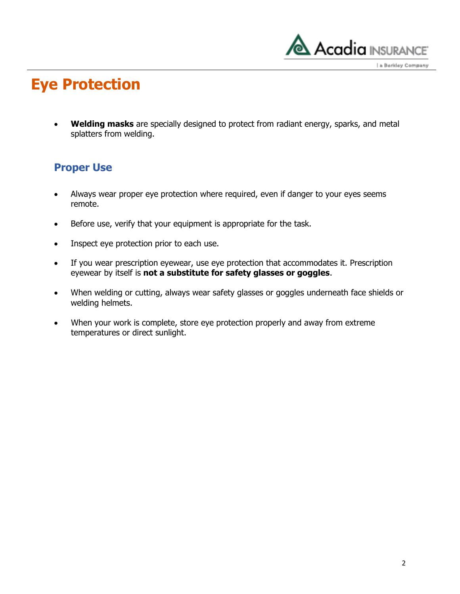

a Berkley Company

## **Eye Protection**

 **Welding masks** are specially designed to protect from radiant energy, sparks, and metal splatters from welding.

#### **Proper Use**

- Always wear proper eye protection where required, even if danger to your eyes seems remote.
- Before use, verify that your equipment is appropriate for the task.
- Inspect eye protection prior to each use.
- If you wear prescription eyewear, use eye protection that accommodates it. Prescription eyewear by itself is **not a substitute for safety glasses or goggles**.
- When welding or cutting, always wear safety glasses or goggles underneath face shields or welding helmets.
- When your work is complete, store eye protection properly and away from extreme temperatures or direct sunlight.